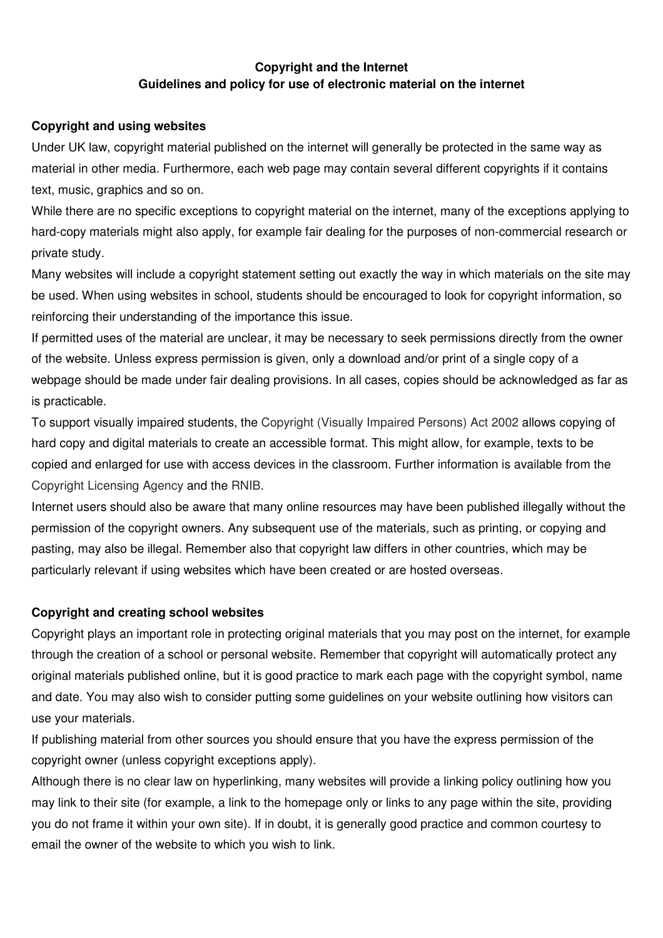# **Copyright and the Internet Guidelines and policy for use of electronic material on the internet**

### **Copyright and using websites**

Under UK law, copyright material published on the internet will generally be protected in the same way as material in other media. Furthermore, each web page may contain several different copyrights if it contains text, music, graphics and so on.

While there are no specific exceptions to copyright material on the internet, many of the exceptions applying to hard-copy materials might also apply, for example fair dealing for the purposes of non-commercial research or private study.

Many websites will include a copyright statement setting out exactly the way in which materials on the site may be used. When using websites in school, students should be encouraged to look for copyright information, so reinforcing their understanding of the importance this issue.

If permitted uses of the material are unclear, it may be necessary to seek permissions directly from the owner of the website. Unless express permission is given, only a download and/or print of a single copy of a webpage should be made under fair dealing provisions. In all cases, copies should be acknowledged as far as is practicable.

To support visually impaired students, the Copyright (Visually Impaired Persons) Act 2002 allows copying of hard copy and digital materials to create an accessible format. This might allow, for example, texts to be copied and enlarged for use with access devices in the classroom. Further information is available from the Copyright Licensing Agency and the RNIB.

Internet users should also be aware that many online resources may have been published illegally without the permission of the copyright owners. Any subsequent use of the materials, such as printing, or copying and pasting, may also be illegal. Remember also that copyright law differs in other countries, which may be particularly relevant if using websites which have been created or are hosted overseas.

### **Copyright and creating school websites**

Copyright plays an important role in protecting original materials that you may post on the internet, for example through the creation of a school or personal website. Remember that copyright will automatically protect any original materials published online, but it is good practice to mark each page with the copyright symbol, name and date. You may also wish to consider putting some guidelines on your website outlining how visitors can use your materials.

If publishing material from other sources you should ensure that you have the express permission of the copyright owner (unless copyright exceptions apply).

Although there is no clear law on hyperlinking, many websites will provide a linking policy outlining how you may link to their site (for example, a link to the homepage only or links to any page within the site, providing you do not frame it within your own site). If in doubt, it is generally good practice and common courtesy to email the owner of the website to which you wish to link.